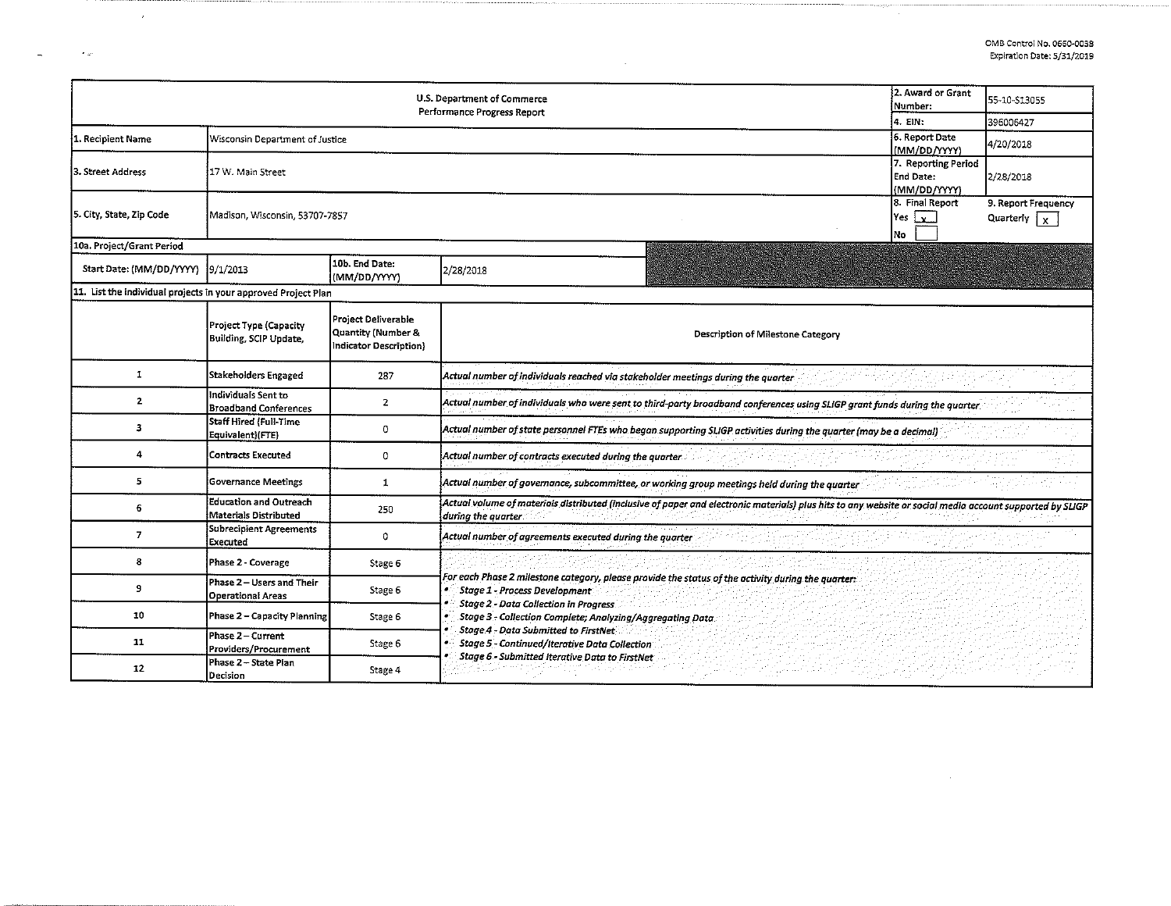$\overline{\phantom{a}}$ 

| U.S. Department of Commerce<br>Performance Progress Report     |                                                               |                                                                     |                                                                                                                                                                                                                                                                                                                                                                                                           |         | 55-10-S13055 |  |  |  |  |
|----------------------------------------------------------------|---------------------------------------------------------------|---------------------------------------------------------------------|-----------------------------------------------------------------------------------------------------------------------------------------------------------------------------------------------------------------------------------------------------------------------------------------------------------------------------------------------------------------------------------------------------------|---------|--------------|--|--|--|--|
|                                                                |                                                               |                                                                     |                                                                                                                                                                                                                                                                                                                                                                                                           | 4. EIN: | 396006427    |  |  |  |  |
| 1. Recipient Name                                              | Wisconsin Department of Justice                               | 6. Report Date<br>(MM/DD/YYYY)                                      | 4/20/2018                                                                                                                                                                                                                                                                                                                                                                                                 |         |              |  |  |  |  |
| 3. Street Address                                              | 17 W. Main Street                                             | 7. Reporting Period<br>End Date:<br>(MM/DD/YYYY)                    | 2/28/2018                                                                                                                                                                                                                                                                                                                                                                                                 |         |              |  |  |  |  |
| 5. City, State, Zip Code                                       | Madison, Wisconsin, 53707-7857                                | 8. Final Report<br>Yes $\mathbf{v}$<br>No                           | 9. Report Frequency<br>Quarterly $\vert x \vert$                                                                                                                                                                                                                                                                                                                                                          |         |              |  |  |  |  |
| 10a. Project/Grant Period                                      |                                                               |                                                                     |                                                                                                                                                                                                                                                                                                                                                                                                           |         |              |  |  |  |  |
| Start Date: (MM/DD/YYYY) 9/1/2013                              |                                                               | 10b. End Date:<br>(MM/DD/YYYY)                                      | 2/28/2018                                                                                                                                                                                                                                                                                                                                                                                                 |         |              |  |  |  |  |
| 11. List the individual projects in your approved Project Plan |                                                               |                                                                     |                                                                                                                                                                                                                                                                                                                                                                                                           |         |              |  |  |  |  |
|                                                                | Project Type (Capacity<br>Building, SCIP Update,              | Project Deliverable<br>Quantity (Number &<br>Indicator Description} | Description of Milestone Category                                                                                                                                                                                                                                                                                                                                                                         |         |              |  |  |  |  |
| 1                                                              | <b>Stakeholders Engaged</b>                                   | 287                                                                 | Actual number of individuals reached via stakeholder meetings during the quarter                                                                                                                                                                                                                                                                                                                          |         |              |  |  |  |  |
| $\mathbf{2}$                                                   | Individuals Sent to<br><b>Broadband Conferences</b>           | $\overline{2}$                                                      | Actual number of individuals who were sent to third-party broadband conferences using SLIGP grant funds during the quarter                                                                                                                                                                                                                                                                                |         |              |  |  |  |  |
| 3                                                              | Staff Hired (Full-Time<br>Equivalent)(FTE)                    | 0                                                                   | [Actual number of state personnel FTEs who began supporting SLIGP activities during the quarter (may be a decimal                                                                                                                                                                                                                                                                                         |         |              |  |  |  |  |
| 4                                                              | <b>Contracts Executed</b>                                     | 0                                                                   | Actual number of contracts executed during the quarter                                                                                                                                                                                                                                                                                                                                                    |         |              |  |  |  |  |
| 5.                                                             | <b>Governance Meetings</b>                                    | 1                                                                   | Actual number of governance, subcommittee, or working group meetings held during the quarter                                                                                                                                                                                                                                                                                                              |         |              |  |  |  |  |
| 6                                                              | <b>Education and Outreach</b><br><b>Materials Distributed</b> | 250                                                                 | Actual volume of materials distributed (inclusive of paper and electronic materials) plus hits to any website or social media account supported by SLIGP<br>during the quarter                                                                                                                                                                                                                            |         |              |  |  |  |  |
| $\overline{I}$                                                 | Subrecipient Agreements<br>Executed                           | 0                                                                   | Actual number of agreements executed during the quarter                                                                                                                                                                                                                                                                                                                                                   |         |              |  |  |  |  |
| 8                                                              | Phase 2 - Coverage                                            | Stage 6                                                             |                                                                                                                                                                                                                                                                                                                                                                                                           |         |              |  |  |  |  |
| 9                                                              | Phase 2 - Users and Their<br><b>Operational Areas</b>         | Stage 6                                                             | For each Phase 2 milestone category, please provide the status of the activity during the quarter:<br><b>Stage 1 - Process Development</b><br><b>Stage 2 - Data Collection in Progress</b><br>Stage 3 - Collection Complete; Analyzing/Aggregating Data<br>Stage 4 - Data Submitted to FirstNet<br><b>Stage 5 - Continued/Iterative Data Collection</b><br>Stage 6 - Submitted Iterative Data to FirstNet |         |              |  |  |  |  |
| 10                                                             | Phase 2 - Capacity Planning                                   | Stage 6                                                             |                                                                                                                                                                                                                                                                                                                                                                                                           |         |              |  |  |  |  |
| 11                                                             | Phase 2 - Current<br>Providers/Procurement                    | Stage 6                                                             |                                                                                                                                                                                                                                                                                                                                                                                                           |         |              |  |  |  |  |
| 12                                                             | Phase 2 - State Plan<br>Decision                              | Stage 4                                                             |                                                                                                                                                                                                                                                                                                                                                                                                           |         |              |  |  |  |  |

 $\sim$ 

 $\mathbf{z}$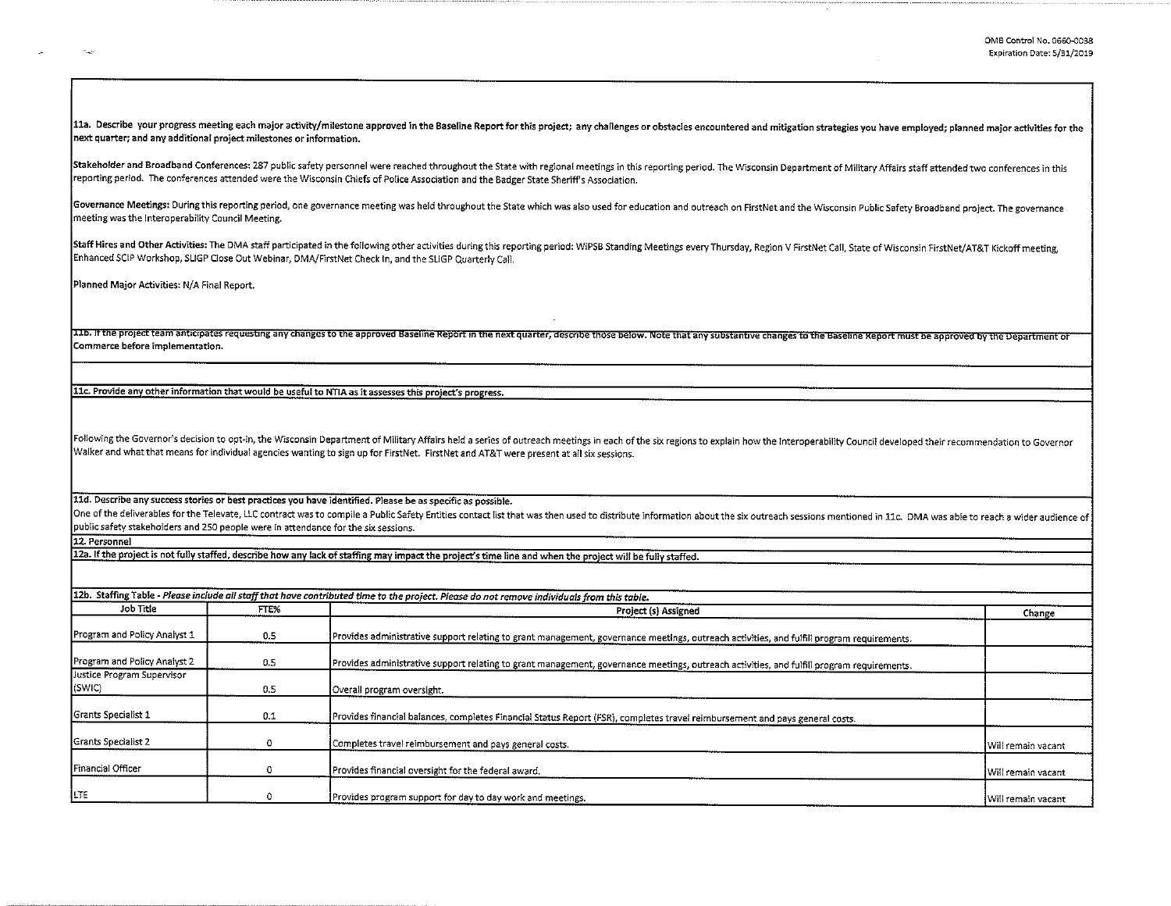11a. Describe your progress meeting each major activity/milestone approved in the Baseline Report for this project; any challenges or obstacles encountered and mitigation strategies you have employed; planned major activit next quarter; and any additional project milestones or information.

Stakeholder and Broadband Conferences: 287 public safety personnel were reached throughout the State with regional meetings in this reporting period. The Wisconsin Department of Military Affairs staff attended two conferen reporting period. The conferences attended were the Wisconsin Chiefs of Police Association and the Badger State Sheriff's Association.

Governance Meetings: During this reporting period, one governance meeting was held throughout the State which was also used for education and outreach on FirstNet and the Wisconsin Public Safety Broadband project. The gove meeting was the Interoperability Council Meeting.

Staff Hires and Other Activities: The DMA staff participated in the following other activities during this reporting period: WiPSB Standing Meetings every Thursday, Region V FirstNet Call, State of Wisconsin FirstNet/AT&T Enhanced SCIP Workshop, SLIGP Close Out Webinar, DMA/FirstNet Check In, and the SLIGP Quarterly Call.

Planned Major Activities: N/A Final Report.

11b. If the project team anticipates requesting any changes to the approved Baseline Report in the next quarter, describe those below. Note that any substantive changes to the Baseline Report must be approved by the Depart Commerce before implementation.

11c. Provide anv other information that would be useful to NTIA as it assesses this project's progress.

Following the Governor's decision to opt-in, the Wisconsin Department of Military Affairs held a series of outreach meetings in each of the six regions to explain how the Interoperability Council developed their recommenda Walker and what that means for individual agencies wanting to sign up for FirstNet. FirstNet and AT&T were present at all six sessions.

lld. Describe any success stories or best practices you have identified. Please be as specific as possible.

One of the deliverables for the Televate, LLC contract was to compile a Public Safety Entities contact list that was then used to distribute information about the six outreach sessions mentioned in 11c. DMA was able to rea public safety stakeholders and 250 people were in attendance for the six sessions.

12. Personnel

12a. If the project is not fully staffed, describe how any lack of staffing may impact the project's time line and when the project will be fully staffed.

|                                      |                                           | 12b. Staffing Table - Please include all staff that have contributed time to the project. Please do not remove individuals from this table. |                    |  |
|--------------------------------------|-------------------------------------------|---------------------------------------------------------------------------------------------------------------------------------------------|--------------------|--|
|                                      | Job Title<br>FTE%<br>Project (s) Assigned |                                                                                                                                             |                    |  |
| Program and Policy Analyst 1         | 0.5                                       | Provides administrative support relating to grant management, governance meetings, outreach activities, and fulfill program requirements.   |                    |  |
| Program and Policy Analyst 2         | 0.5                                       | Provides administrative support relating to grant management, governance meetings, outreach activities, and fulfill program requirements.   |                    |  |
| Justice Program Supervisor<br>(SWIC) | 0.5                                       | Overall program oversight.                                                                                                                  |                    |  |
| Grants Specialist 1                  | 0.1                                       | Provides financial balances, completes Financial Status Report (FSR), completes travel reimbursement and pays general costs.                |                    |  |
| Grants Specialist 2                  |                                           | Completes travel reimbursement and pays general costs.                                                                                      | Will remain vacant |  |
| Financial Officer                    |                                           | Provides financial oversight for the federal award.                                                                                         | Will remain vacant |  |
| LTE                                  |                                           | Provides program support for day to day work and meetings.                                                                                  | Will remain vacant |  |